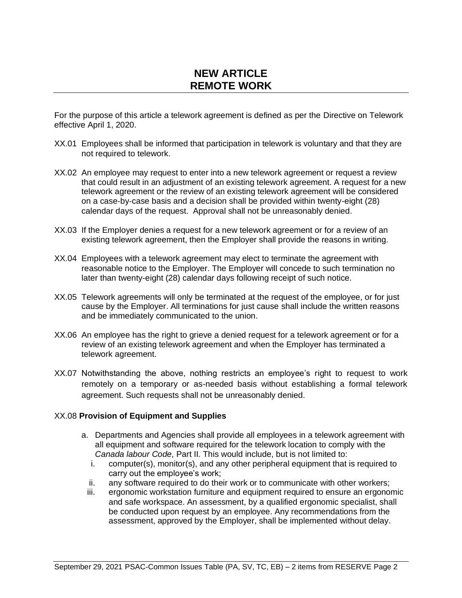## **NEW ARTICLE REMOTE WORK**

For the purpose of this article a telework agreement is defined as per the Directive on Telework effective April 1, 2020.

- XX.01 Employees shall be informed that participation in telework is voluntary and that they are not required to telework.
- XX.02 An employee may request to enter into a new telework agreement or request a review that could result in an adjustment of an existing telework agreement. A request for a new telework agreement or the review of an existing telework agreement will be considered on a case‑by‑case basis and a decision shall be provided within twenty-eight (28) calendar days of the request. Approval shall not be unreasonably denied.
- XX.03 If the Employer denies a request for a new telework agreement or for a review of an existing telework agreement, then the Employer shall provide the reasons in writing.
- XX.04 Employees with a telework agreement may elect to terminate the agreement with reasonable notice to the Employer. The Employer will concede to such termination no later than twenty-eight (28) calendar days following receipt of such notice.
- XX.05 Telework agreements will only be terminated at the request of the employee, or for just cause by the Employer. All terminations for just cause shall include the written reasons and be immediately communicated to the union.
- XX.06 An employee has the right to grieve a denied request for a telework agreement or for a review of an existing telework agreement and when the Employer has terminated a telework agreement.
- XX.07 Notwithstanding the above, nothing restricts an employee's right to request to work remotely on a temporary or as-needed basis without establishing a formal telework agreement. Such requests shall not be unreasonably denied.

## XX.08 **Provision of Equipment and Supplies**

- a. Departments and Agencies shall provide all employees in a telework agreement with all equipment and software required for the telework location to comply with the *Canada labour Code,* Part II*.* This would include, but is not limited to:
	- i. computer(s), monitor(s), and any other peripheral equipment that is required to carry out the employee's work;
	- ii. any software required to do their work or to communicate with other workers;
	- iii. ergonomic workstation furniture and equipment required to ensure an ergonomic and safe workspace. An assessment, by a qualified ergonomic specialist, shall be conducted upon request by an employee. Any recommendations from the assessment, approved by the Employer, shall be implemented without delay.